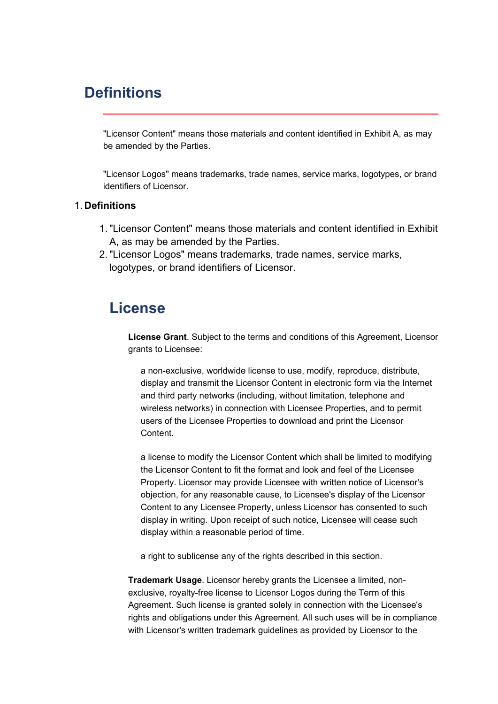## **Definitions**

"Licensor Content" means those materials and content identified in Exhibit A, as may be amended by the Parties.

"Licensor Logos" means trademarks, trade names, service marks, logotypes, or brand identifiers of Licensor.

### 1. **Definitions**

- 1."Licensor Content" means those materials and content identified in Exhibit A, as may be amended by the Parties.
- 2."Licensor Logos" means trademarks, trade names, service marks, logotypes, or brand identifiers of Licensor.

## **License**

**License Grant**. Subject to the terms and conditions of this Agreement, Licensor grants to Licensee:

<sup>a</sup> non-exclusive, worldwide license to use, modify, reproduce, distribute, display and transmit the Licensor Content in electronic form via the Internet and third party networks (including, without limitation, telephone and wireless networks) in connection with Licensee Properties, and to permit users of the Licensee Properties to download and print the Licensor Content.

<sup>a</sup> license to modify the Licensor Content which shall be limited to modifying the Licensor Content to fit the format and look and feel of the Licensee Property. Licensor may provide Licensee with written notice of Licensor's objection, for any reasonable cause, to Licensee's display of the Licensor Content to any Licensee Property, unless Licensor has consented to such display in writing. Upon receipt of such notice, Licensee will cease such display within <sup>a</sup> reasonable period of time.

<sup>a</sup> right to sublicense any of the rights described in this section.

**Trademark Usage**. Licensor hereby grants the Licensee <sup>a</sup> limited, nonexclusive, royalty-free license to Licensor Logos during the Term of this Agreement. Such license is granted solely in connection with the Licensee's rights and obligations under this Agreement. All such uses will be in compliance with Licensor's written trademark guidelines as provided by Licensor to the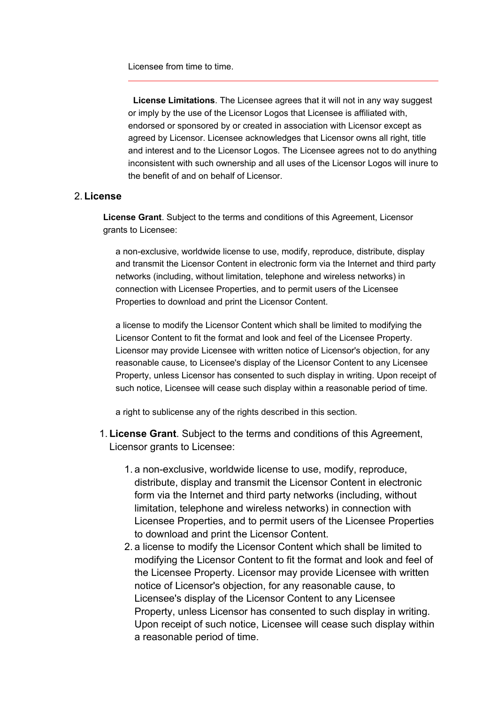Licensee from time to time.

 **License Limitations**. The Licensee agrees that it will not in any way suggest or imply by the use of the Licensor Logos that Licensee is affiliated with, endorsed or sponsored by or created in association with Licensor except as agreed by Licensor. Licensee acknowledges that Licensor owns all right, title and interest and to the Licensor Logos. The Licensee agrees not to do anything inconsistent with such ownership and all uses of the Licensor Logos will inure to the benefit of and on behalf of Licensor.

### 2. **License**

**License Grant**. Subject to the terms and conditions of this Agreement, Licensor grants to Licensee:

<sup>a</sup> non-exclusive, worldwide license to use, modify, reproduce, distribute, display and transmit the Licensor Content in electronic form via the Internet and third party networks (including, without limitation, telephone and wireless networks) in connection with Licensee Properties, and to permit users of the Licensee Properties to download and print the Licensor Content.

<sup>a</sup> license to modify the Licensor Content which shall be limited to modifying the Licensor Content to fit the format and look and feel of the Licensee Property. Licensor may provide Licensee with written notice of Licensor's objection, for any reasonable cause, to Licensee's display of the Licensor Content to any Licensee Property, unless Licensor has consented to such display in writing. Upon receipt of such notice, Licensee will cease such display within <sup>a</sup> reasonable period of time.

<sup>a</sup> right to sublicense any of the rights described in this section.

- 1. **License Grant**. Subject to the terms and conditions of this Agreement, Licensor grants to Licensee:
	- 1. <sup>a</sup> non-exclusive, worldwide license to use, modify, reproduce, distribute, display and transmit the Licensor Content in electronic form via the Internet and third party networks (including, without limitation, telephone and wireless networks) in connection with Licensee Properties, and to permit users of the Licensee Properties to download and print the Licensor Content.
	- 2. <sup>a</sup> license to modify the Licensor Content which shall be limited to modifying the Licensor Content to fit the format and look and feel of the Licensee Property. Licensor may provide Licensee with written notice of Licensor's objection, for any reasonable cause, to Licensee's display of the Licensor Content to any Licensee Property, unless Licensor has consented to such display in writing. Upon receipt of such notice, Licensee will cease such display within <sup>a</sup> reasonable period of time.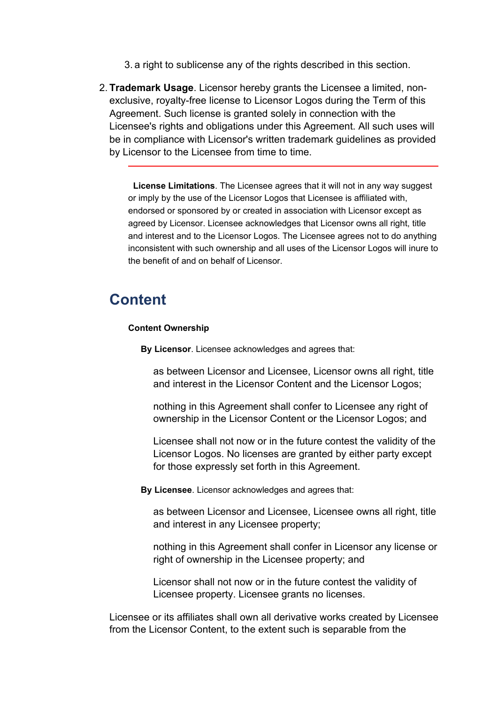3. <sup>a</sup> right to sublicense any of the rights described in this section.

2. **Trademark Usage**. Licensor hereby grants the Licensee <sup>a</sup> limited, nonexclusive, royalty-free license to Licensor Logos during the Term of this Agreement. Such license is granted solely in connection with the Licensee's rights and obligations under this Agreement. All such uses will be in compliance with Licensor's written trademark guidelines as provided by Licensor to the Licensee from time to time.

 **License Limitations**. The Licensee agrees that it will not in any way suggest or imply by the use of the Licensor Logos that Licensee is affiliated with, endorsed or sponsored by or created in association with Licensor except as agreed by Licensor. Licensee acknowledges that Licensor owns all right, title and interest and to the Licensor Logos. The Licensee agrees not to do anything inconsistent with such ownership and all uses of the Licensor Logos will inure to the benefit of and on behalf of Licensor.

## **Content**

#### **Content Ownership**

**By Licensor**. Licensee acknowledges and agrees that:

as between Licensor and Licensee, Licensor owns all right, title and interest in the Licensor Content and the Licensor Logos;

nothing in this Agreement shall confer to Licensee any right of ownership in the Licensor Content or the Licensor Logos; and

Licensee shall not now or in the future contest the validity of the Licensor Logos. No licenses are granted by either party except for those expressly set forth in this Agreement.

**By Licensee**. Licensor acknowledges and agrees that:

as between Licensor and Licensee, Licensee owns all right, title and interest in any Licensee property;

nothing in this Agreement shall confer in Licensor any license or right of ownership in the Licensee property; and

Licensor shall not now or in the future contest the validity of Licensee property. Licensee grants no licenses.

Licensee or its affiliates shall own all derivative works created by Licensee from the Licensor Content, to the extent such is separable from the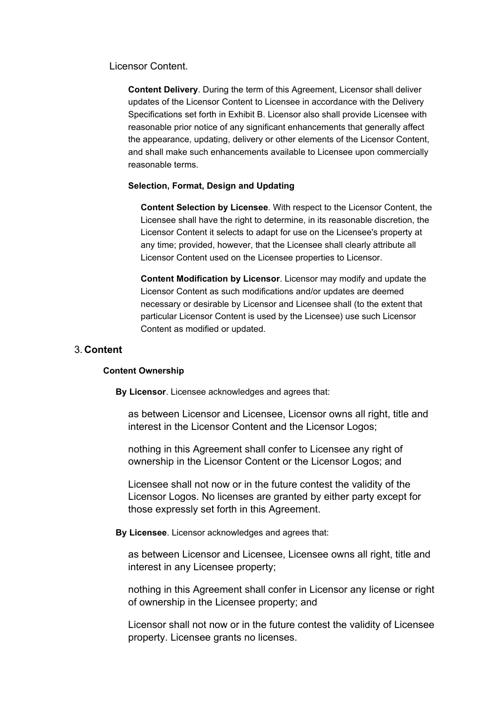Licensor Content.

**Content Delivery**. During the term of this Agreement, Licensor shall deliver updates of the Licensor Content to Licensee in accordance with the Delivery Specifications set forth in Exhibit B. Licensor also shall provide Licensee with reasonable prior notice of any significant enhancements that generally affect the appearance, updating, delivery or other elements of the Licensor Content, and shall make such enhancements available to Licensee upon commercially reasonable terms.

#### **Selection, Format, Design and Updating**

**Content Selection by Licensee**. With respect to the Licensor Content, the Licensee shall have the right to determine, in its reasonable discretion, the Licensor Content it selects to adapt for use on the Licensee's property at any time; provided, however, that the Licensee shall clearly attribute all Licensor Content used on the Licensee properties to Licensor.

**Content Modification by Licensor**. Licensor may modify and update the Licensor Content as such modifications and/or updates are deemed necessary or desirable by Licensor and Licensee shall (to the extent that particular Licensor Content is used by the Licensee) use such Licensor Content as modified or updated.

### 3. **Content**

#### **Content Ownership**

**By Licensor**. Licensee acknowledges and agrees that:

as between Licensor and Licensee, Licensor owns all right, title and interest in the Licensor Content and the Licensor Logos;

nothing in this Agreement shall confer to Licensee any right of ownership in the Licensor Content or the Licensor Logos; and

Licensee shall not now or in the future contest the validity of the Licensor Logos. No licenses are granted by either party except for those expressly set forth in this Agreement.

**By Licensee**. Licensor acknowledges and agrees that:

as between Licensor and Licensee, Licensee owns all right, title and interest in any Licensee property;

nothing in this Agreement shall confer in Licensor any license or right of ownership in the Licensee property; and

Licensor shall not now or in the future contest the validity of Licensee property. Licensee grants no licenses.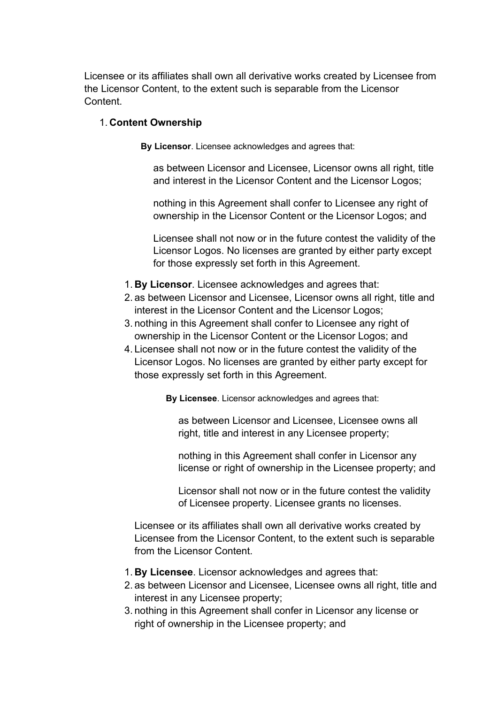Licensee or its affiliates shall own all derivative works created by Licensee from the Licensor Content, to the extent such is separable from the Licensor **Content** 

## 1. **Content Ownership**

**By Licensor**. Licensee acknowledges and agrees that:

as between Licensor and Licensee, Licensor owns all right, title and interest in the Licensor Content and the Licensor Logos;

nothing in this Agreement shall confer to Licensee any right of ownership in the Licensor Content or the Licensor Logos; and

Licensee shall not now or in the future contest the validity of the Licensor Logos. No licenses are granted by either party except for those expressly set forth in this Agreement.

- 1. **By Licensor**. Licensee acknowledges and agrees that:
- 2. as between Licensor and Licensee, Licensor owns all right, title and interest in the Licensor Content and the Licensor Logos;
- 3. nothing in this Agreement shall confer to Licensee any right of ownership in the Licensor Content or the Licensor Logos; and
- 4. Licensee shall not now or in the future contest the validity of the Licensor Logos. No licenses are granted by either party except for those expressly set forth in this Agreement.

**By Licensee**. Licensor acknowledges and agrees that:

as between Licensor and Licensee, Licensee owns all right, title and interest in any Licensee property;

nothing in this Agreement shall confer in Licensor any license or right of ownership in the Licensee property; and

Licensor shall not now or in the future contest the validity of Licensee property. Licensee grants no licenses.

Licensee or its affiliates shall own all derivative works created by Licensee from the Licensor Content, to the extent such is separable from the Licensor Content.

- 1. **By Licensee**. Licensor acknowledges and agrees that:
- 2. as between Licensor and Licensee, Licensee owns all right, title and interest in any Licensee property;
- 3. nothing in this Agreement shall confer in Licensor any license or right of ownership in the Licensee property; and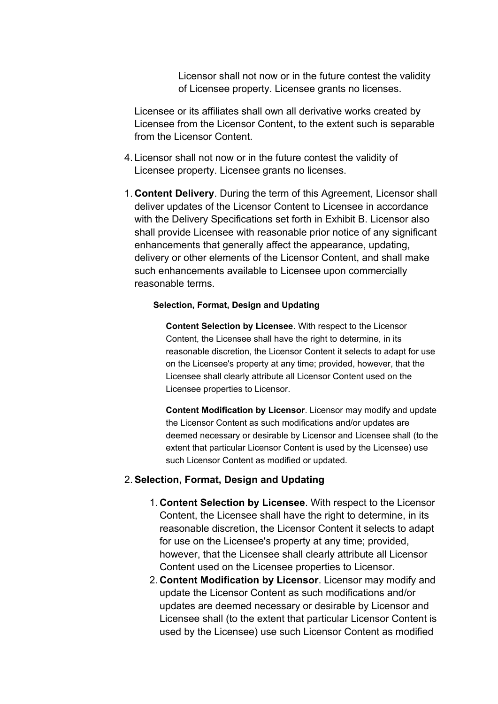Licensor shall not now or in the future contest the validity of Licensee property. Licensee grants no licenses.

Licensee or its affiliates shall own all derivative works created by Licensee from the Licensor Content, to the extent such is separable from the Licensor Content.

- 4. Licensor shall not now or in the future contest the validity of Licensee property. Licensee grants no licenses.
- 1. **Content Delivery**. During the term of this Agreement, Licensor shall deliver updates of the Licensor Content to Licensee in accordance with the Delivery Specifications set forth in Exhibit B. Licensor also shall provide Licensee with reasonable prior notice of any significant enhancements that generally affect the appearance, updating, delivery or other elements of the Licensor Content, and shall make such enhancements available to Licensee upon commercially reasonable terms.

#### **Selection, Format, Design and Updating**

**Content Selection by Licensee**. With respect to the Licensor Content, the Licensee shall have the right to determine, in its reasonable discretion, the Licensor Content it selects to adapt for use on the Licensee's property at any time; provided, however, that the Licensee shall clearly attribute all Licensor Content used on the Licensee properties to Licensor.

**Content Modification by Licensor**. Licensor may modify and update the Licensor Content as such modifications and/or updates are deemed necessary or desirable by Licensor and Licensee shall (to the extent that particular Licensor Content is used by the Licensee) use such Licensor Content as modified or updated.

### 2. **Selection, Format, Design and Updating**

- 1. **Content Selection by Licensee**. With respect to the Licensor Content, the Licensee shall have the right to determine, in its reasonable discretion, the Licensor Content it selects to adapt for use on the Licensee's property at any time; provided, however, that the Licensee shall clearly attribute all Licensor Content used on the Licensee properties to Licensor.
- 2. **Content Modification by Licensor**. Licensor may modify and update the Licensor Content as such modifications and/or updates are deemed necessary or desirable by Licensor and Licensee shall (to the extent that particular Licensor Content is used by the Licensee) use such Licensor Content as modified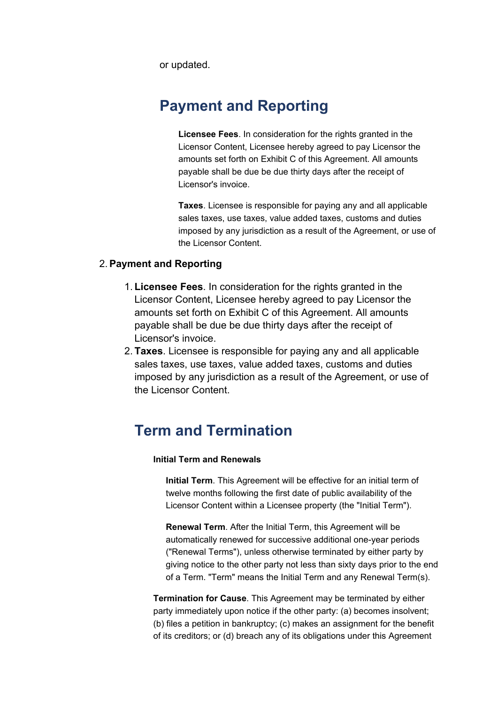or updated.

# **Payment and Reporting**

**Licensee Fees**. In consideration for the rights granted in the Licensor Content, Licensee hereby agreed to pay Licensor the amounts set forth on Exhibit C of this Agreement. All amounts payable shall be due be due thirty days after the receipt of Licensor's invoice.

**Taxes**. Licensee is responsible for paying any and all applicable sales taxes, use taxes, value added taxes, customs and duties imposed by any jurisdiction as <sup>a</sup> result of the Agreement, or use of the Licensor Content.

## 2. **Payment and Reporting**

- 1. **Licensee Fees**. In consideration for the rights granted in the Licensor Content, Licensee hereby agreed to pay Licensor the amounts set forth on Exhibit C of this Agreement. All amounts payable shall be due be due thirty days after the receipt of Licensor's invoice.
- 2. **Taxes**. Licensee is responsible for paying any and all applicable sales taxes, use taxes, value added taxes, customs and duties imposed by any jurisdiction as <sup>a</sup> result of the Agreement, or use of the Licensor Content.

## **Term and Termination**

### **Initial Term and Renewals**

**Initial Term**. This Agreement will be effective for an initial term of twelve months following the first date of public availability of the Licensor Content within <sup>a</sup> Licensee property (the "Initial Term").

**Renewal Term**. After the Initial Term, this Agreement will be automatically renewed for successive additional one-year periods ("Renewal Terms"), unless otherwise terminated by either party by giving notice to the other party not less than sixty days prior to the end of <sup>a</sup> Term. "Term" means the Initial Term and any Renewal Term(s).

**Termination for Cause**. This Agreement may be terminated by either party immediately upon notice if the other party: (a) becomes insolvent; (b) files <sup>a</sup> petition in bankruptcy; (c) makes an assignment for the benefit of its creditors; or (d) breach any of its obligations under this Agreement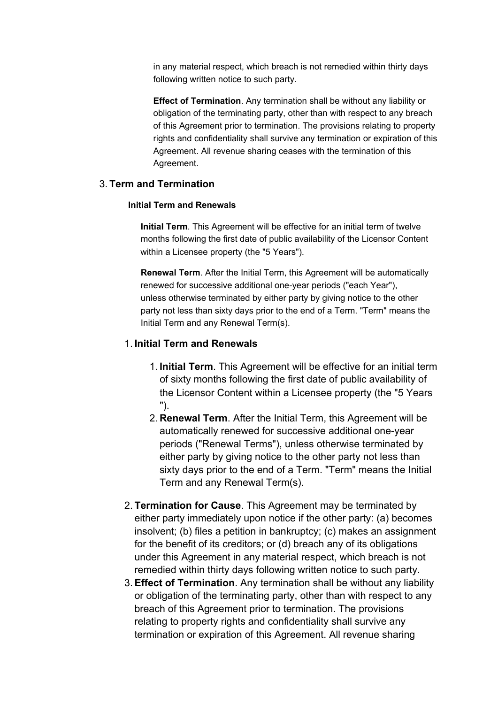in any material respect, which breach is not remedied within thirty days following written notice to such party.

**Effect of Termination**. Any termination shall be without any liability or obligation of the terminating party, other than with respect to any breach of this Agreement prior to termination. The provisions relating to property rights and confidentiality shall survive any termination or expiration of this Agreement. All revenue sharing ceases with the termination of this Agreement.

## 3. **Term and Termination**

#### **Initial Term and Renewals**

**Initial Term**. This Agreement will be effective for an initial term of twelve months following the first date of public availability of the Licensor Content within a Licensee property (the "5 Years").

**Renewal Term**. After the Initial Term, this Agreement will be automatically unless otherwise terminated by either party by giving notice to the other party not less than sixty days prior to the end of <sup>a</sup> Term. "Term" means the Initial Term and any Renewal Term(s). renewed for successive additional one-year periods ("each Year"),

## 1. **Initial Term and Renewals**

- 1. **Initial Term**. This Agreement will be effective for an initial term of sixty months following the first date of public availability of the Licensor Content within a Licensee property (the "5 Years ").
- 2. **Renewal Term**. After the Initial Term, this Agreement will be automatically renewed for successive additional one-year periods ("Renewal Terms"), unless otherwise terminated by either party by giving notice to the other party not less than sixty days prior to the end of <sup>a</sup> Term. "Term" means the Initial Term and any Renewal Term(s).
- 2. **Termination for Cause**. This Agreement may be terminated by either party immediately upon notice if the other party: (a) becomes insolvent; (b) files <sup>a</sup> petition in bankruptcy; (c) makes an assignment for the benefit of its creditors; or (d) breach any of its obligations under this Agreement in any material respect, which breach is not remedied within thirty days following written notice to such party.
- 3. **Effect of Termination**. Any termination shall be without any liability or obligation of the terminating party, other than with respect to any breach of this Agreement prior to termination. The provisions relating to property rights and confidentiality shall survive any termination or expiration of this Agreement. All revenue sharing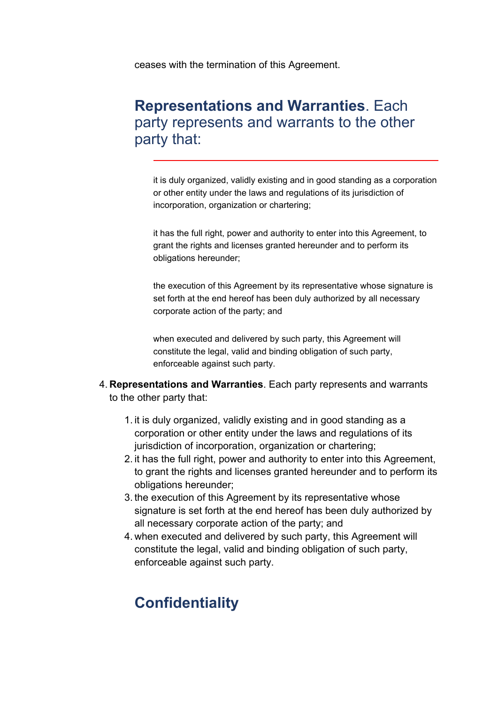ceases with the termination of this Agreement.

## **Representations and Warranties**. Each party represents and warrants to the other party that:

it is duly organized, validly existing and in good standing as <sup>a</sup> corporation or other entity under the laws and regulations of its jurisdiction of incorporation, organization or chartering;

it has the full right, power and authority to enter into this Agreement, to grant the rights and licenses granted hereunder and to perform its obligations hereunder;

the execution of this Agreement by its representative whose signature is set forth at the end hereof has been duly authorized by all necessary corporate action of the party; and

when executed and delivered by such party, this Agreement will constitute the legal, valid and binding obligation of such party, enforceable against such party.

- 4. **Representations and Warranties**. Each party represents and warrants to the other party that:
	- 1. it is duly organized, validly existing and in good standing as <sup>a</sup> corporation or other entity under the laws and regulations of its jurisdiction of incorporation, organization or chartering;
	- 2. it has the full right, power and authority to enter into this Agreement, to grant the rights and licenses granted hereunder and to perform its obligations hereunder;
	- 3. the execution of this Agreement by its representative whose signature is set forth at the end hereof has been duly authorized by all necessary corporate action of the party; and
	- 4. when executed and delivered by such party, this Agreement will constitute the legal, valid and binding obligation of such party, enforceable against such party.

# **Confidentiality**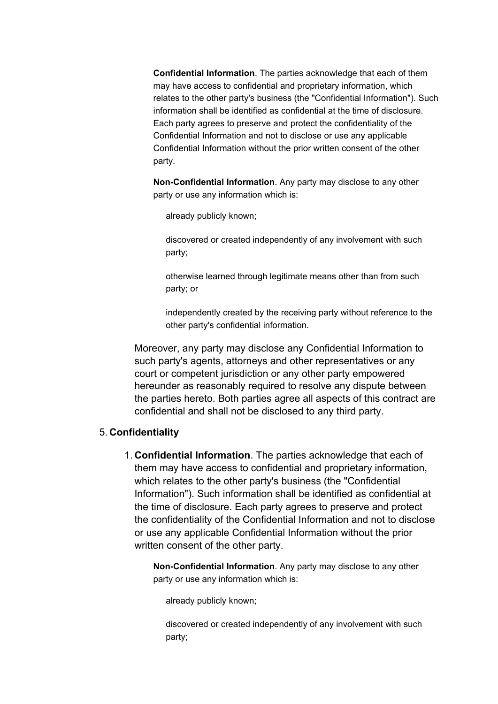**Confidential Information**. The parties acknowledge that each of them may have access to confidential and proprietary information, which relates to the other party's business (the "Confidential Information"). Such information shall be identified as confidential at the time of disclosure. Each party agrees to preserve and protect the confidentiality of the Confidential Information and not to disclose or use any applicable Confidential Information without the prior written consent of the other party.

**Non-Confidential Information**. Any party may disclose to any other party or use any information which is:

already publicly known;

discovered or created independently of any involvement with such party;

otherwise learned through legitimate means other than from such party; or

independently created by the receiving party without reference to the other party's confidential information.

Moreover, any party may disclose any Confidential Information to such party's agents, attorneys and other representatives or any court or competent jurisdiction or any other party empowered hereunder as reasonably required to resolve any dispute between the parties hereto. Both parties agree all aspects of this contract are confidential and shall not be disclosed to any third party.

## 5. **Confidentiality**

1. **Confidential Information**. The parties acknowledge that each of them may have access to confidential and proprietary information, which relates to the other party's business (the "Confidential Information"). Such information shall be identified as confidential at the time of disclosure. Each party agrees to preserve and protect the confidentiality of the Confidential Information and not to disclose or use any applicable Confidential Information without the prior written consent of the other party.

**Non-Confidential Information**. Any party may disclose to any other party or use any information which is:

already publicly known;

discovered or created independently of any involvement with such party;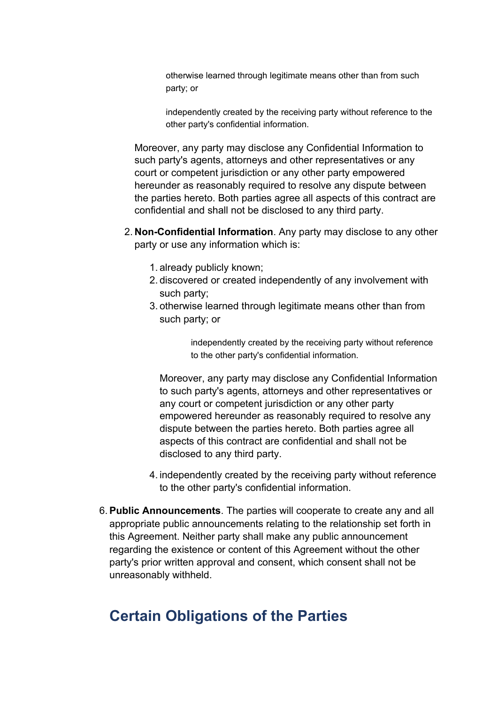otherwise learned through legitimate means other than from such party; or

independently created by the receiving party without reference to the other party's confidential information.

Moreover, any party may disclose any Confidential Information to such party's agents, attorneys and other representatives or any court or competent jurisdiction or any other party empowered hereunder as reasonably required to resolve any dispute between the parties hereto. Both parties agree all aspects of this contract are confidential and shall not be disclosed to any third party.

- 2. **Non-Confidential Information**. Any party may disclose to any other party or use any information which is:
	- 1. already publicly known;
	- 2. discovered or created independently of any involvement with such party;
	- 3. otherwise learned through legitimate means other than from such party; or

independently created by the receiving party without reference to the other party's confidential information.

Moreover, any party may disclose any Confidential Information to such party's agents, attorneys and other representatives or any court or competent jurisdiction or any other party empowered hereunder as reasonably required to resolve any dispute between the parties hereto. Both parties agree all aspects of this contract are confidential and shall not be disclosed to any third party.

- 4. independently created by the receiving party without reference to the other party's confidential information.
- 6. **Public Announcements**. The parties will cooperate to create any and all appropriate public announcements relating to the relationship set forth in this Agreement. Neither party shall make any public announcement regarding the existence or content of this Agreement without the other party's prior written approval and consent, which consent shall not be unreasonably withheld.

## **Certain Obligations of the Parties**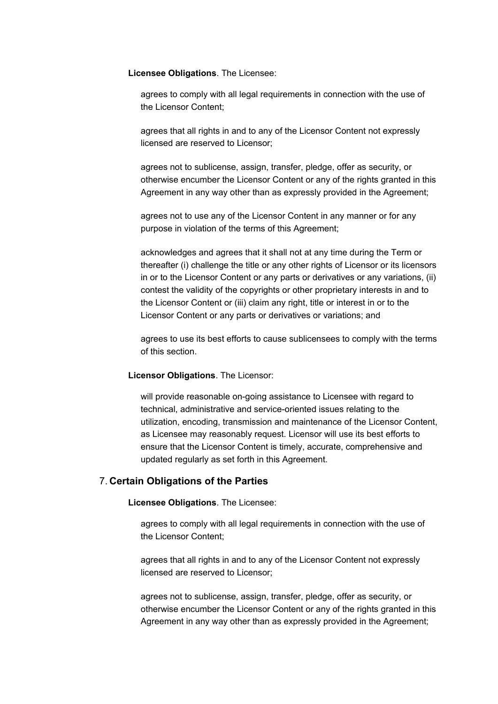**Licensee Obligations**. The Licensee:

agrees to comply with all legal requirements in connection with the use of the Licensor Content;

agrees that all rights in and to any of the Licensor Content not expressly licensed are reserved to Licensor;

agrees not to sublicense, assign, transfer, pledge, offer as security, or otherwise encumber the Licensor Content or any of the rights granted in this Agreement in any way other than as expressly provided in the Agreement;

agrees not to use any of the Licensor Content in any manner or for any purpose in violation of the terms of this Agreement;

acknowledges and agrees that it shall not at any time during the Term or thereafter (i) challenge the title or any other rights of Licensor or its licensors in or to the Licensor Content or any parts or derivatives or any variations, (ii) contest the validity of the copyrights or other proprietary interests in and to the Licensor Content or (iii) claim any right, title or interest in or to the Licensor Content or any parts or derivatives or variations; and

agrees to use its best efforts to cause sublicensees to comply with the terms of this section.

#### **Licensor Obligations**. The Licensor:

will provide reasonable on-going assistance to Licensee with regard to technical, administrative and service-oriented issues relating to the utilization, encoding, transmission and maintenance of the Licensor Content, as Licensee may reasonably request. Licensor will use its best efforts to ensure that the Licensor Content is timely, accurate, comprehensive and updated regularly as set forth in this Agreement.

### 7. **Certain Obligations of the Parties**

**Licensee Obligations**. The Licensee:

agrees to comply with all legal requirements in connection with the use of the Licensor Content;

agrees that all rights in and to any of the Licensor Content not expressly licensed are reserved to Licensor;

agrees not to sublicense, assign, transfer, pledge, offer as security, or otherwise encumber the Licensor Content or any of the rights granted in this Agreement in any way other than as expressly provided in the Agreement;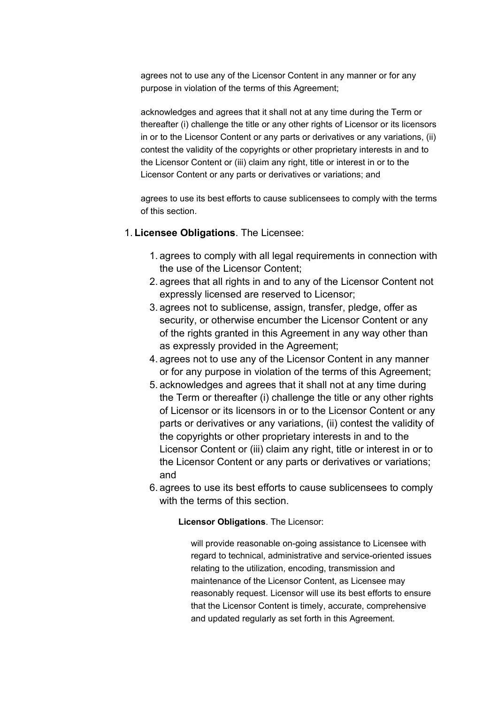agrees not to use any of the Licensor Content in any manner or for any purpose in violation of the terms of this Agreement;

acknowledges and agrees that it shall not at any time during the Term or thereafter (i) challenge the title or any other rights of Licensor or its licensors in or to the Licensor Content or any parts or derivatives or any variations, (ii) contest the validity of the copyrights or other proprietary interests in and to the Licensor Content or (iii) claim any right, title or interest in or to the Licensor Content or any parts or derivatives or variations; and

agrees to use its best efforts to cause sublicensees to comply with the terms of this section.

### 1. **Licensee Obligations**. The Licensee:

- 1. agrees to comply with all legal requirements in connection with the use of the Licensor Content;
- 2. agrees that all rights in and to any of the Licensor Content not expressly licensed are reserved to Licensor;
- 3. agrees not to sublicense, assign, transfer, pledge, offer as security, or otherwise encumber the Licensor Content or any of the rights granted in this Agreement in any way other than as expressly provided in the Agreement;
- 4. agrees not to use any of the Licensor Content in any manner or for any purpose in violation of the terms of this Agreement;
- 5. acknowledges and agrees that it shall not at any time during the Term or thereafter (i) challenge the title or any other rights of Licensor or its licensors in or to the Licensor Content or any parts or derivatives or any variations, (ii) contest the validity of the copyrights or other proprietary interests in and to the Licensor Content or (iii) claim any right, title or interest in or to the Licensor Content or any parts or derivatives or variations; and
- 6. agrees to use its best efforts to cause sublicensees to comply with the terms of this section

**Licensor Obligations**. The Licensor:

will provide reasonable on-going assistance to Licensee with regard to technical, administrative and service-oriented issues relating to the utilization, encoding, transmission and maintenance of the Licensor Content, as Licensee may reasonably request. Licensor will use its best efforts to ensure that the Licensor Content is timely, accurate, comprehensive and updated regularly as set forth in this Agreement.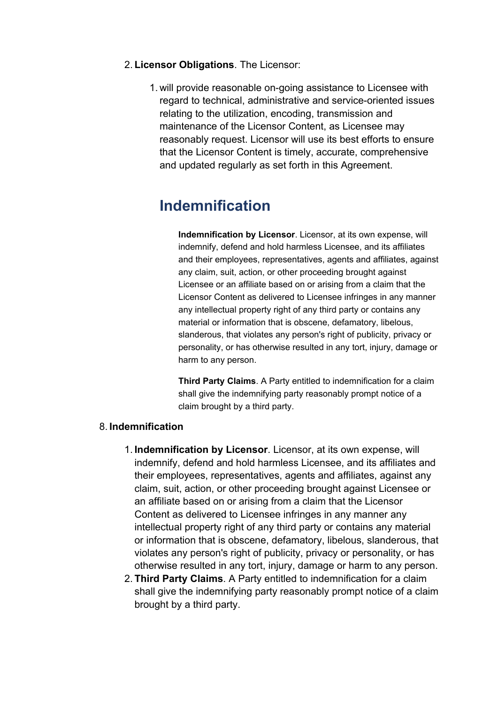- 2. **Licensor Obligations**. The Licensor:
	- 1. will provide reasonable on-going assistance to Licensee with regard to technical, administrative and service-oriented issues relating to the utilization, encoding, transmission and maintenance of the Licensor Content, as Licensee may reasonably request. Licensor will use its best efforts to ensure that the Licensor Content is timely, accurate, comprehensive and updated regularly as set forth in this Agreement.

# **Indemnification**

**Indemnification by Licensor**. Licensor, at its own expense, will indemnify, defend and hold harmless Licensee, and its affiliates and their employees, representatives, agents and affiliates, against any claim, suit, action, or other proceeding brought against Licensee or an affiliate based on or arising from <sup>a</sup> claim that the Licensor Content as delivered to Licensee infringes in any manner any intellectual property right of any third party or contains any material or information that is obscene, defamatory, libelous, slanderous, that violates any person's right of publicity, privacy or personality, or has otherwise resulted in any tort, injury, damage or harm to any person.

**Third Party Claims**. A Party entitled to indemnification for <sup>a</sup> claim shall give the indemnifying party reasonably prompt notice of <sup>a</sup> claim brought by <sup>a</sup> third party.

## 8. **Indemnification**

- 1. **Indemnification by Licensor**. Licensor, at its own expense, will indemnify, defend and hold harmless Licensee, and its affiliates and their employees, representatives, agents and affiliates, against any claim, suit, action, or other proceeding brought against Licensee or an affiliate based on or arising from <sup>a</sup> claim that the Licensor Content as delivered to Licensee infringes in any manner any intellectual property right of any third party or contains any material or information that is obscene, defamatory, libelous, slanderous, that violates any person's right of publicity, privacy or personality, or has otherwise resulted in any tort, injury, damage or harm to any person.
- 2. **Third Party Claims**. A Party entitled to indemnification for <sup>a</sup> claim shall give the indemnifying party reasonably prompt notice of <sup>a</sup> claim brought by <sup>a</sup> third party.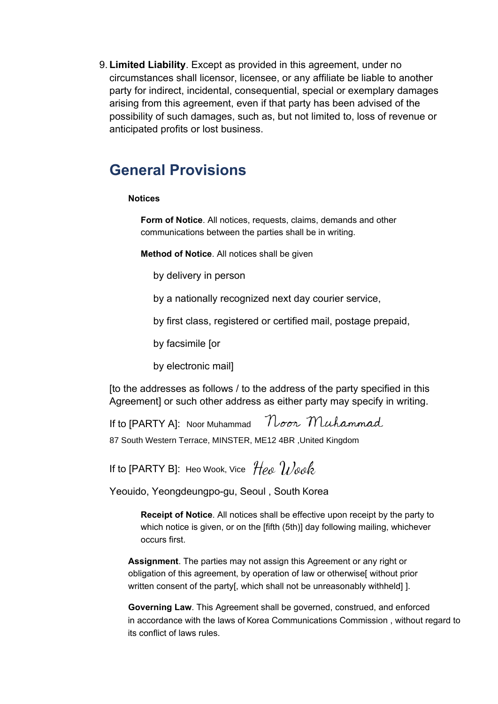9. **Limited Liability**. Except as provided in this agreement, under no circumstances shall licensor, licensee, or any affiliate be liable to another party for indirect, incidental, consequential, special or exemplary damages arising from this agreement, even if that party has been advised of the possibility of such damages, such as, but not limited to, loss of revenue or anticipated profits or lost business.

## **General Provisions**

### **Notices**

**Form of Notice**. All notices, requests, claims, demands and other communications between the parties shall be in writing.

**Method of Notice**. All notices shall be given

by delivery in person

by <sup>a</sup> nationally recognized next day courier service,

by first class, registered or certified mail, postage prepaid,

by facsimile [or

by electronic mail]

[to the addresses as follows / to the address of the party specified in this Agreement or such other address as either party may specify in writing.

Noon Muhammad If to [PARTY A]: Noor Muhammad 87 South Western Terrace, MINSTER, ME12 4BR ,United Kingdom

If to [PARTY B]: Heo Wook, Vice

Yeouido, Yeongdeungpo-gu, Seoul , South Korea

**Receipt of Notice**. All notices shall be effective upon receipt by the party to which notice is given, or on the [fifth (5th)] day following mailing, whichever occurs first.

**Assignment**. The parties may not assign this Agreement or any right or obligation of this agreement, by operation of law or otherwise[ without prior written consent of the party[, which shall not be unreasonably withheld]].

**Governing Law**. This Agreement shall be governed, construed, and enforced in accordance with the laws of Korea Communications Commission , without regard to its conflict of laws rules.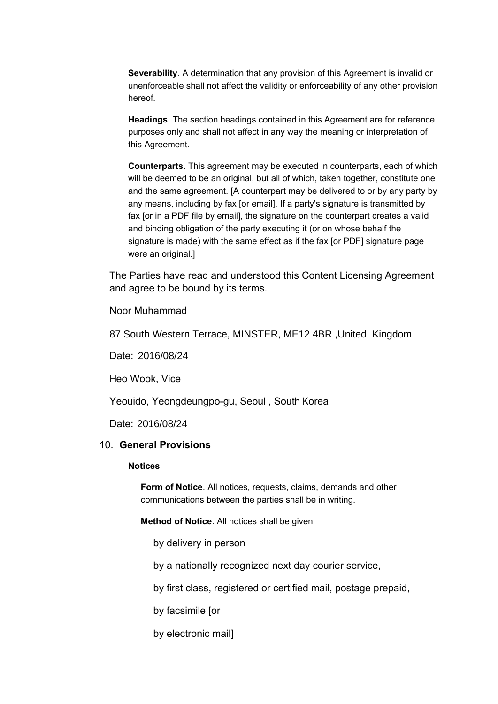**Severability**. A determination that any provision of this Agreement is invalid or unenforceable shall not affect the validity or enforceability of any other provision hereof.

**Headings**. The section headings contained in this Agreement are for reference purposes only and shall not affect in any way the meaning or interpretation of this Agreement.

**Counterparts**. This agreement may be executed in counterparts, each of which will be deemed to be an original, but all of which, taken together, constitute one and the same agreement. [A counterpart may be delivered to or by any party by any means, including by fax [or email]. If <sup>a</sup> party's signature is transmitted by fax [or in <sup>a</sup> PDF file by email], the signature on the counterpart creates <sup>a</sup> valid and binding obligation of the party executing it (or on whose behalf the signature is made) with the same effect as if the fax [or PDF] signature page were an original.]

The Parties have read and understood this Content Licensing Agreement and agree to be bound by its terms.

Noor Muhammad

87 South Western Terrace, MINSTER, ME12 4BR ,United Kingdom

Date: 2016/08/24

Heo Wook, Vice

Yeouido, Yeongdeungpo-gu, Seoul , South Korea

Date: 2016/08/24

#### 10. **General Provisions**

#### **Notices**

**Form of Notice**. All notices, requests, claims, demands and other communications between the parties shall be in writing.

**Method of Notice**. All notices shall be given

by delivery in person

by <sup>a</sup> nationally recognized next day courier service,

by first class, registered or certified mail, postage prepaid,

by facsimile [or

by electronic mail]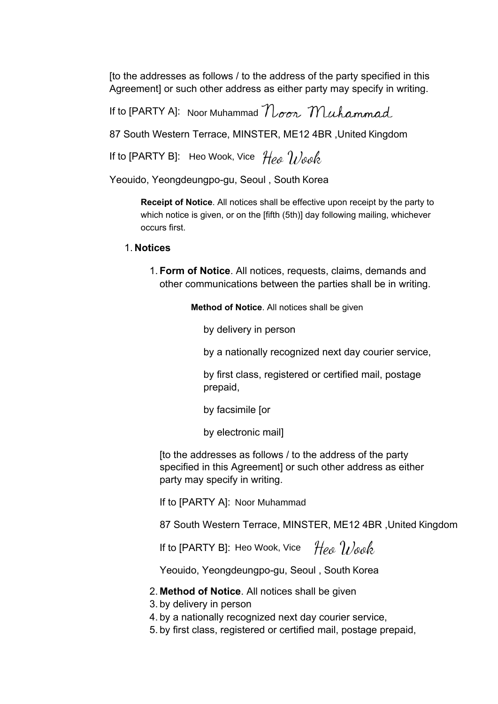[to the addresses as follows / to the address of the party specified in this Agreement] or such other address as either party may specify in writing.

If to [PARTY A]: Noor Muhammad

87 South Western Terrace, MINSTER, ME12 4BR ,United Kingdom

If to [PARTY B]: Heo Wook, Vice

Yeouido, Yeongdeungpo-gu, Seoul , South Korea

**Receipt of Notice**. All notices shall be effective upon receipt by the party to which notice is given, or on the [fifth (5th)] day following mailing, whichever occurs first.

## 1. **Notices**

1. **Form of Notice**. All notices, requests, claims, demands and other communications between the parties shall be in writing.

**Method of Notice**. All notices shall be given

by delivery in person

by <sup>a</sup> nationally recognized next day courier service,

by first class, registered or certified mail, postage prepaid,

by facsimile [or

by electronic mail]

[to the addresses as follows / to the address of the party party may specify in writing. specified in this Agreement] or such other address as either

If to [PARTY A]: Noor Muhammad

87 South Western Terrace, MINSTER, ME12 4BR ,United Kingdom

If to [PARTY B]: Heo Wook, Vice

Yeouido, Yeongdeungpo-gu, Seoul , South Korea

### 2. **Method of Notice**. All notices shall be given

- 3. by delivery in person
- 4. by <sup>a</sup> nationally recognized next day courier service,
- 5. by first class, registered or certified mail, postage prepaid,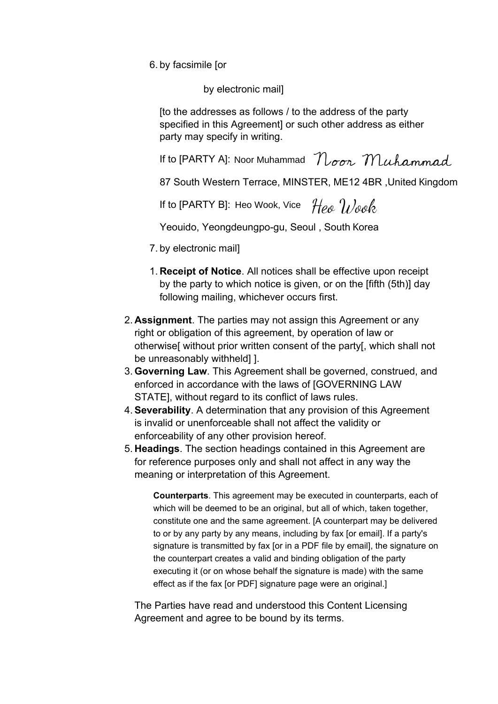6. by facsimile [or

by electronic mail]

[to the addresses as follows / to the address of the party specified in this Agreement] or such other address as either party may specify in writing.

If to [PARTY A]: Noor Muhammad

87 South Western Terrace, MINSTER, ME12 4BR ,United Kingdom

If to [PARTY B]: Heo Wook, Vice

Yeouido, Yeongdeungpo-gu, Seoul , South Korea

- 7. by electronic mail]
- 1. **Receipt of Notice**. All notices shall be effective upon receipt by the party to which notice is given, or on the [fifth (5th)] day following mailing, whichever occurs first.
- 2. **Assignment**. The parties may not assign this Agreement or any right or obligation of this agreement, by operation of law or otherwise[ without prior written consent of the party[, which shall not be unreasonably withheld] ].
- 3. **Governing Law**. This Agreement shall be governed, construed, and enforced in accordance with the laws of [GOVERNING LAW STATE], without regard to its conflict of laws rules.
- 4. **Severability**. A determination that any provision of this Agreement is invalid or unenforceable shall not affect the validity or enforceability of any other provision hereof.
- 5. **Headings**. The section headings contained in this Agreement are for reference purposes only and shall not affect in any way the meaning or interpretation of this Agreement.

**Counterparts**. This agreement may be executed in counterparts, each of which will be deemed to be an original, but all of which, taken together, constitute one and the same agreement. [A counterpart may be delivered to or by any party by any means, including by fax [or email]. If <sup>a</sup> party's signature is transmitted by fax [or in <sup>a</sup> PDF file by email], the signature on the counterpart creates <sup>a</sup> valid and binding obligation of the party executing it (or on whose behalf the signature is made) with the same effect as if the fax [or PDF] signature page were an original.]

The Parties have read and understood this Content Licensing Agreement and agree to be bound by its terms.